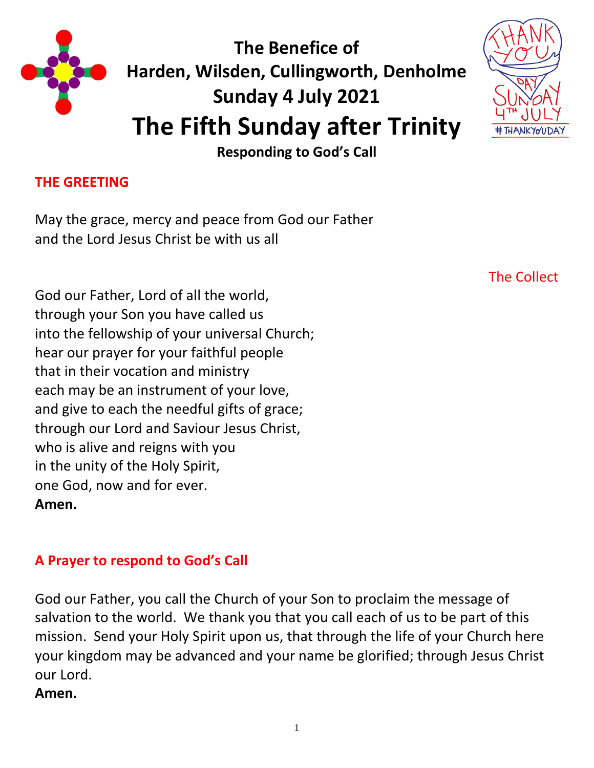

**The Benefice of Harden, Wilsden, Cullingworth, Denholme Sunday 4 July 2021 The Fifth Sunday after Trinity**



**Responding to God's Call**

### **THE GREETING**

May the grace, mercy and peace from God our Father and the Lord Jesus Christ be with us all

God our Father, Lord of all the world, through your Son you have called us into the fellowship of your universal Church; hear our prayer for your faithful people that in their vocation and ministry each may be an instrument of your love, and give to each the needful gifts of grace; through our Lord and Saviour Jesus Christ, who is alive and reigns with you in the unity of the Holy Spirit, one God, now and for ever. **Amen.**

The Collect

### **A Prayer to respond to God's Call**

God our Father, you call the Church of your Son to proclaim the message of salvation to the world. We thank you that you call each of us to be part of this mission. Send your Holy Spirit upon us, that through the life of your Church here your kingdom may be advanced and your name be glorified; through Jesus Christ our Lord.

#### **Amen.**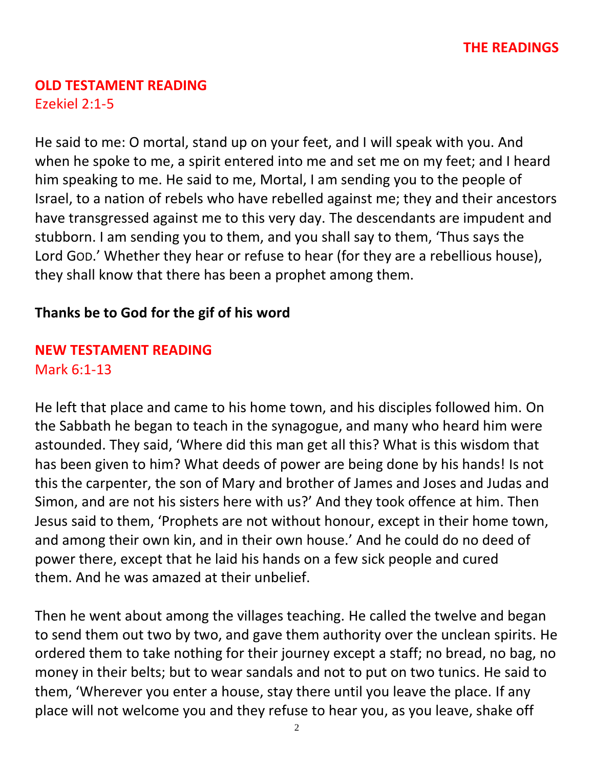# **OLD TESTAMENT READING**

Ezekiel 2:1-5

He said to me: O mortal, stand up on your feet, and I will speak with you. And when he spoke to me, a spirit entered into me and set me on my feet; and I heard him speaking to me. He said to me, Mortal, I am sending you to the people of Israel, to a nation of rebels who have rebelled against me; they and their ancestors have transgressed against me to this very day. The descendants are impudent and stubborn. I am sending you to them, and you shall say to them, 'Thus says the Lord GOD.' Whether they hear or refuse to hear (for they are a rebellious house), they shall know that there has been a prophet among them.

# **Thanks be to God for the gif of his word**

#### **NEW TESTAMENT READING**  Mark 6:1-13

He left that place and came to his home town, and his disciples followed him. On the Sabbath he began to teach in the synagogue, and many who heard him were astounded. They said, 'Where did this man get all this? What is this wisdom that has been given to him? What deeds of power are being done by his hands! Is not this the carpenter, the son of Mary and brother of James and Joses and Judas and Simon, and are not his sisters here with us?' And they took offence at him. Then Jesus said to them, 'Prophets are not without honour, except in their home town, and among their own kin, and in their own house.' And he could do no deed of power there, except that he laid his hands on a few sick people and cured them. And he was amazed at their unbelief.

Then he went about among the villages teaching. He called the twelve and began to send them out two by two, and gave them authority over the unclean spirits. He ordered them to take nothing for their journey except a staff; no bread, no bag, no money in their belts; but to wear sandals and not to put on two tunics. He said to them, 'Wherever you enter a house, stay there until you leave the place. If any place will not welcome you and they refuse to hear you, as you leave, shake off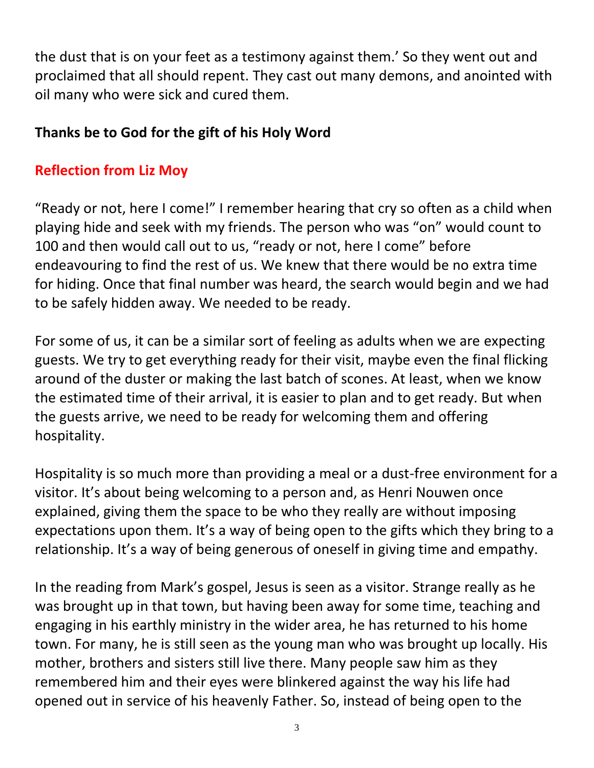the dust that is on your feet as a testimony against them.' So they went out and proclaimed that all should repent. They cast out many demons, and anointed with oil many who were sick and cured them.

# **Thanks be to God for the gift of his Holy Word**

# **Reflection from Liz Moy**

"Ready or not, here I come!" I remember hearing that cry so often as a child when playing hide and seek with my friends. The person who was "on" would count to 100 and then would call out to us, "ready or not, here I come" before endeavouring to find the rest of us. We knew that there would be no extra time for hiding. Once that final number was heard, the search would begin and we had to be safely hidden away. We needed to be ready.

For some of us, it can be a similar sort of feeling as adults when we are expecting guests. We try to get everything ready for their visit, maybe even the final flicking around of the duster or making the last batch of scones. At least, when we know the estimated time of their arrival, it is easier to plan and to get ready. But when the guests arrive, we need to be ready for welcoming them and offering hospitality.

Hospitality is so much more than providing a meal or a dust-free environment for a visitor. It's about being welcoming to a person and, as Henri Nouwen once explained, giving them the space to be who they really are without imposing expectations upon them. It's a way of being open to the gifts which they bring to a relationship. It's a way of being generous of oneself in giving time and empathy.

In the reading from Mark's gospel, Jesus is seen as a visitor. Strange really as he was brought up in that town, but having been away for some time, teaching and engaging in his earthly ministry in the wider area, he has returned to his home town. For many, he is still seen as the young man who was brought up locally. His mother, brothers and sisters still live there. Many people saw him as they remembered him and their eyes were blinkered against the way his life had opened out in service of his heavenly Father. So, instead of being open to the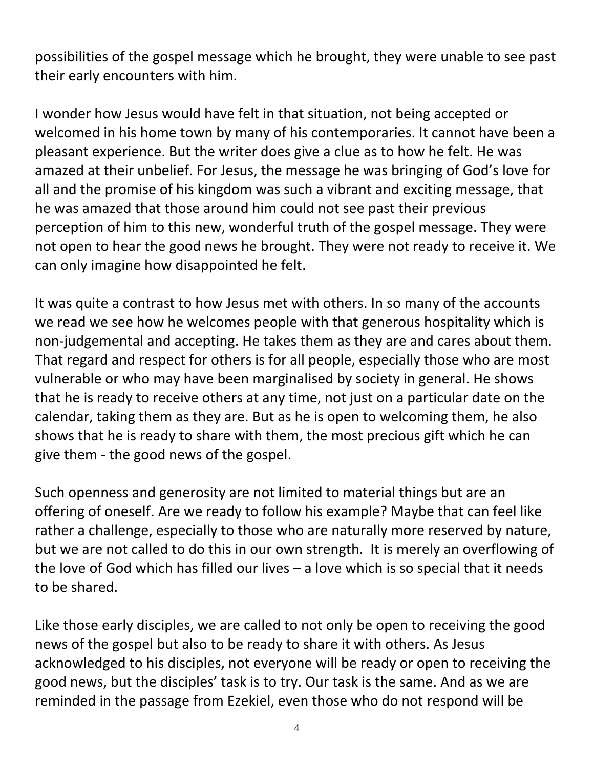possibilities of the gospel message which he brought, they were unable to see past their early encounters with him.

I wonder how Jesus would have felt in that situation, not being accepted or welcomed in his home town by many of his contemporaries. It cannot have been a pleasant experience. But the writer does give a clue as to how he felt. He was amazed at their unbelief. For Jesus, the message he was bringing of God's love for all and the promise of his kingdom was such a vibrant and exciting message, that he was amazed that those around him could not see past their previous perception of him to this new, wonderful truth of the gospel message. They were not open to hear the good news he brought. They were not ready to receive it. We can only imagine how disappointed he felt.

It was quite a contrast to how Jesus met with others. In so many of the accounts we read we see how he welcomes people with that generous hospitality which is non-judgemental and accepting. He takes them as they are and cares about them. That regard and respect for others is for all people, especially those who are most vulnerable or who may have been marginalised by society in general. He shows that he is ready to receive others at any time, not just on a particular date on the calendar, taking them as they are. But as he is open to welcoming them, he also shows that he is ready to share with them, the most precious gift which he can give them - the good news of the gospel.

Such openness and generosity are not limited to material things but are an offering of oneself. Are we ready to follow his example? Maybe that can feel like rather a challenge, especially to those who are naturally more reserved by nature, but we are not called to do this in our own strength. It is merely an overflowing of the love of God which has filled our lives – a love which is so special that it needs to be shared.

Like those early disciples, we are called to not only be open to receiving the good news of the gospel but also to be ready to share it with others. As Jesus acknowledged to his disciples, not everyone will be ready or open to receiving the good news, but the disciples' task is to try. Our task is the same. And as we are reminded in the passage from Ezekiel, even those who do not respond will be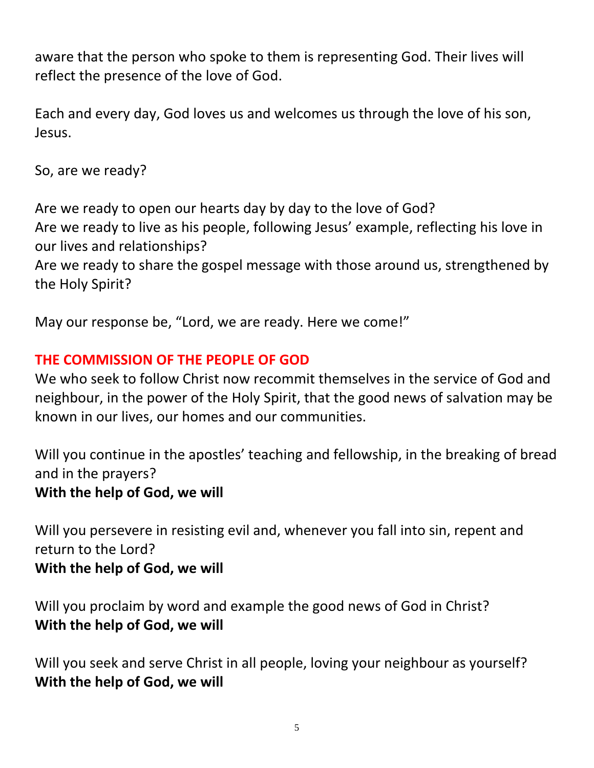aware that the person who spoke to them is representing God. Their lives will reflect the presence of the love of God.

Each and every day, God loves us and welcomes us through the love of his son, Jesus.

So, are we ready?

Are we ready to open our hearts day by day to the love of God? Are we ready to live as his people, following Jesus' example, reflecting his love in our lives and relationships?

Are we ready to share the gospel message with those around us, strengthened by the Holy Spirit?

May our response be, "Lord, we are ready. Here we come!"

# **THE COMMISSION OF THE PEOPLE OF GOD**

We who seek to follow Christ now recommit themselves in the service of God and neighbour, in the power of the Holy Spirit, that the good news of salvation may be known in our lives, our homes and our communities.

Will you continue in the apostles' teaching and fellowship, in the breaking of bread and in the prayers? **With the help of God, we will**

Will you persevere in resisting evil and, whenever you fall into sin, repent and return to the Lord? **With the help of God, we will**

Will you proclaim by word and example the good news of God in Christ? **With the help of God, we will**

Will you seek and serve Christ in all people, loving your neighbour as yourself? **With the help of God, we will**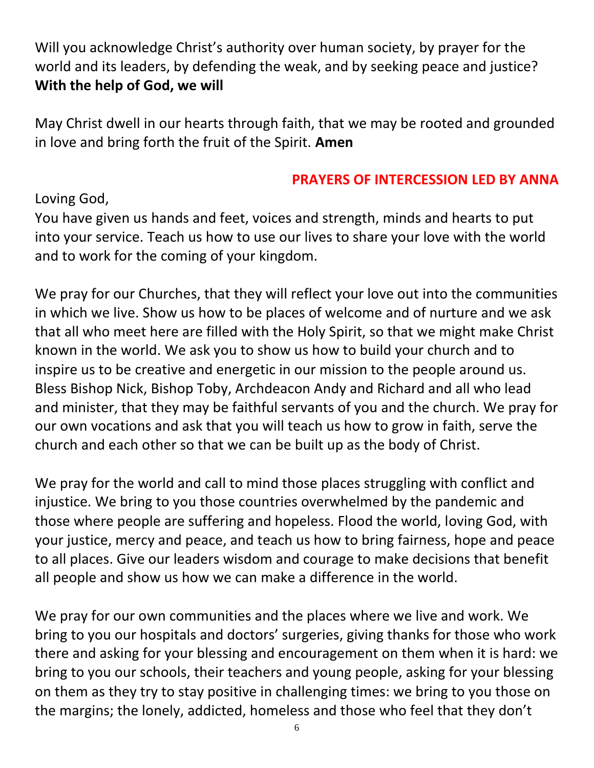Will you acknowledge Christ's authority over human society, by prayer for the world and its leaders, by defending the weak, and by seeking peace and justice? **With the help of God, we will**

May Christ dwell in our hearts through faith, that we may be rooted and grounded in love and bring forth the fruit of the Spirit. **Amen**

### **PRAYERS OF INTERCESSION LED BY ANNA**

Loving God,

You have given us hands and feet, voices and strength, minds and hearts to put into your service. Teach us how to use our lives to share your love with the world and to work for the coming of your kingdom.

We pray for our Churches, that they will reflect your love out into the communities in which we live. Show us how to be places of welcome and of nurture and we ask that all who meet here are filled with the Holy Spirit, so that we might make Christ known in the world. We ask you to show us how to build your church and to inspire us to be creative and energetic in our mission to the people around us. Bless Bishop Nick, Bishop Toby, Archdeacon Andy and Richard and all who lead and minister, that they may be faithful servants of you and the church. We pray for our own vocations and ask that you will teach us how to grow in faith, serve the church and each other so that we can be built up as the body of Christ.

We pray for the world and call to mind those places struggling with conflict and injustice. We bring to you those countries overwhelmed by the pandemic and those where people are suffering and hopeless. Flood the world, loving God, with your justice, mercy and peace, and teach us how to bring fairness, hope and peace to all places. Give our leaders wisdom and courage to make decisions that benefit all people and show us how we can make a difference in the world.

We pray for our own communities and the places where we live and work. We bring to you our hospitals and doctors' surgeries, giving thanks for those who work there and asking for your blessing and encouragement on them when it is hard: we bring to you our schools, their teachers and young people, asking for your blessing on them as they try to stay positive in challenging times: we bring to you those on the margins; the lonely, addicted, homeless and those who feel that they don't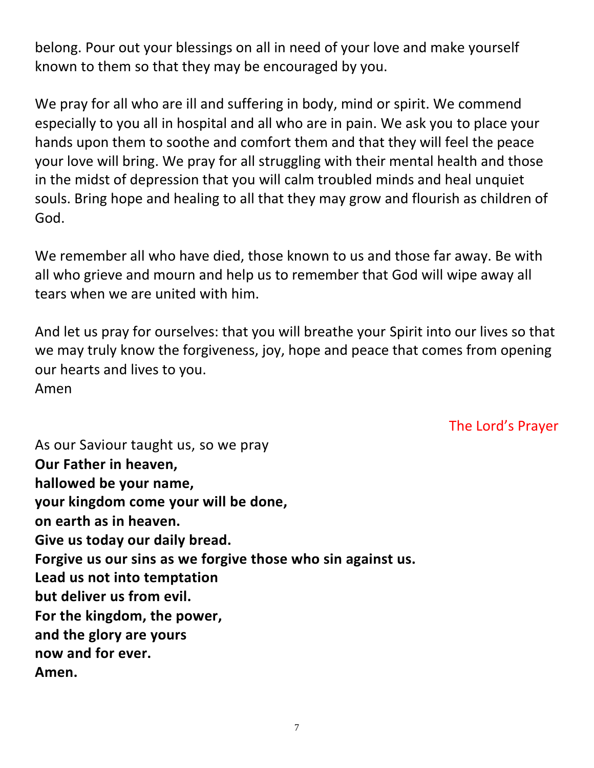belong. Pour out your blessings on all in need of your love and make yourself known to them so that they may be encouraged by you.

We pray for all who are ill and suffering in body, mind or spirit. We commend especially to you all in hospital and all who are in pain. We ask you to place your hands upon them to soothe and comfort them and that they will feel the peace your love will bring. We pray for all struggling with their mental health and those in the midst of depression that you will calm troubled minds and heal unquiet souls. Bring hope and healing to all that they may grow and flourish as children of God.

We remember all who have died, those known to us and those far away. Be with all who grieve and mourn and help us to remember that God will wipe away all tears when we are united with him.

And let us pray for ourselves: that you will breathe your Spirit into our lives so that we may truly know the forgiveness, joy, hope and peace that comes from opening our hearts and lives to you. Amen

The Lord's Prayer

As our Saviour taught us, so we pray **Our Father in heaven, hallowed be your name, your kingdom come your will be done, on earth as in heaven. Give us today our daily bread. Forgive us our sins as we forgive those who sin against us. Lead us not into temptation but deliver us from evil. For the kingdom, the power, and the glory are yours now and for ever. Amen.**